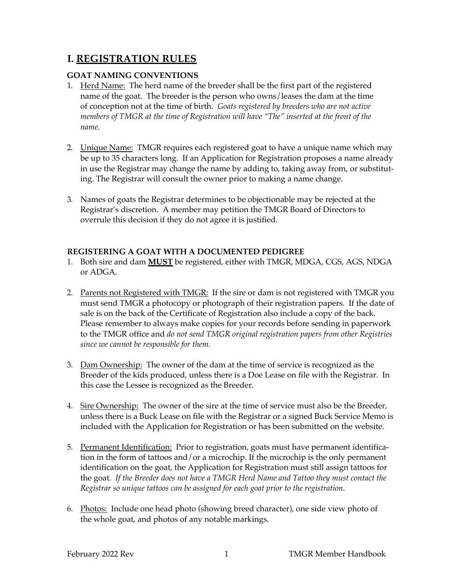# **I. REGISTRATION RULES**

# **GOAT NAMING CONVENTIONS**

- 1. Herd Name: The herd name of the breeder shall be the first part of the registered name of the goat. The breeder is the person who owns/leases the dam at the time of conception not at the time of birth. *Goats registered by breeders who are not active members of TMGR at the time of Registration will have "The" inserted at the front of the name.*
- 2. <u>Unique Name:</u> TMGR requires each registered goat to have a unique name which may be up to 35 characters long. If an Application for Registration proposes a name already in use the Registrar may change the name by adding to, taking away from, or substituting. The Registrar will consult the owner prior to making a name change.
- 3. Names of goats the Registrar determines to be objectionable may be rejected at the Registrar's discretion. A member may petition the TMGR Board of Directors to overrule this decision if they do not agree it is justified.

# **REGISTERING A GOAT WITH A DOCUMENTED PEDIGREE**

- 1. Both sire and dam **MUST** be registered, either with TMGR, MDGA, CGS, AGS, NDGA or ADGA.
- 2. Parents not Registered with TMGR: If the sire or dam is not registered with TMGR you must send TMGR a photocopy or photograph of their registration papers. If the date of sale is on the back of the Certificate of Registration also include a copy of the back. Please remember to always make copies for your records before sending in paperwork to the TMGR office and *do not send TMGR original registration papers from other Registries since we cannot be responsible for them.*
- 3. Dam Ownership: The owner of the dam at the time of service is recognized as the Breeder of the kids produced, unless there is a Doe Lease on file with the Registrar. In this case the Lessee is recognized as the Breeder.
- 4. Sire Ownership: The owner of the sire at the time of service must also be the Breeder, unless there is a Buck Lease on file with the Registrar or a signed Buck Service Memo is included with the Application for Registration or has been submitted on the website.
- 5. Permanent Identification: Prior to registration, goats must have permanent identification in the form of tattoos and/or a microchip. If the microchip is the only permanent identification on the goat, the Application for Registration must still assign tattoos for the goat. *If the Breeder does not have a TMGR Herd Name and Tattoo they must contact the Registrar so unique tattoos can be assigned for each goat prior to the registration.*
- 6. Photos: Include one head photo (showing breed character), one side view photo of the whole goat, and photos of any notable markings.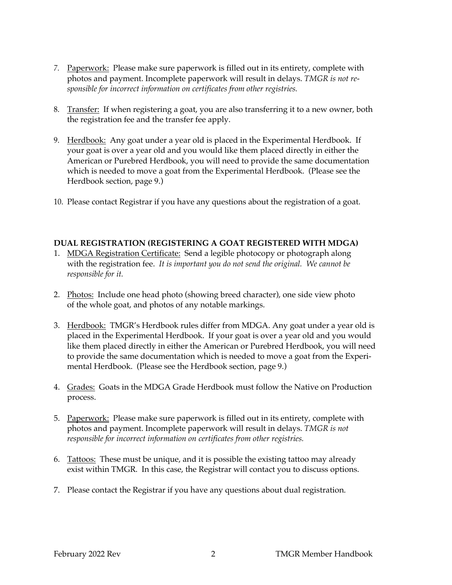- *7.* Paperwork: Please make sure paperwork is filled out in its entirety, complete with photos and payment. Incomplete paperwork will result in delays. *TMGR is not responsible for incorrect information on certificates from other registries.*
- 8. Transfer: If when registering a goat, you are also transferring it to a new owner, both the registration fee and the transfer fee apply.
- 9. Herdbook: Any goat under a year old is placed in the Experimental Herdbook. If your goat is over a year old and you would like them placed directly in either the American or Purebred Herdbook, you will need to provide the same documentation which is needed to move a goat from the Experimental Herdbook. (Please see the Herdbook section, page 9.)
- 10. Please contact Registrar if you have any questions about the registration of a goat.

## **DUAL REGISTRATION (REGISTERING A GOAT REGISTERED WITH MDGA)**

- 1. MDGA Registration Certificate: Send a legible photocopy or photograph along with the registration fee. *It is important you do not send the original. We cannot be responsible for it.*
- 2. Photos: Include one head photo (showing breed character), one side view photo of the whole goat, and photos of any notable markings.
- 3. Herdbook: TMGR's Herdbook rules differ from MDGA. Any goat under a year old is placed in the Experimental Herdbook. If your goat is over a year old and you would like them placed directly in either the American or Purebred Herdbook, you will need to provide the same documentation which is needed to move a goat from the Experimental Herdbook. (Please see the Herdbook section, page 9.)
- 4. Grades: Goats in the MDGA Grade Herdbook must follow the Native on Production process.
- 5. Paperwork: Please make sure paperwork is filled out in its entirety, complete with photos and payment. Incomplete paperwork will result in delays. *TMGR is not responsible for incorrect information on certificates from other registries.*
- 6. Tattoos: These must be unique, and it is possible the existing tattoo may already exist within TMGR. In this case, the Registrar will contact you to discuss options.
- 7. Please contact the Registrar if you have any questions about dual registration.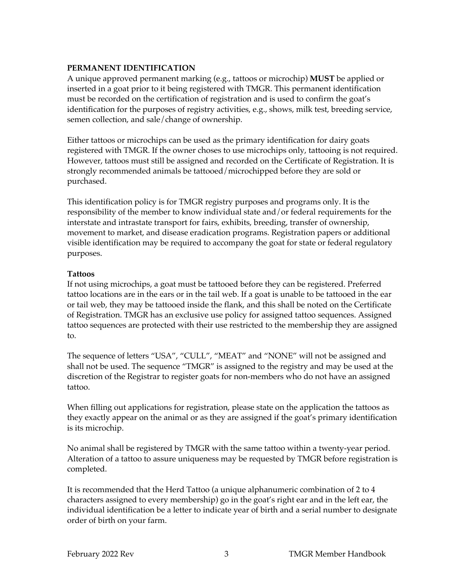#### **PERMANENT IDENTIFICATION**

A unique approved permanent marking (e.g., tattoos or microchip) **MUST** be applied or inserted in a goat prior to it being registered with TMGR. This permanent identification must be recorded on the certification of registration and is used to confirm the goat's identification for the purposes of registry activities, e.g., shows, milk test, breeding service, semen collection, and sale/change of ownership.

Either tattoos or microchips can be used as the primary identification for dairy goats registered with TMGR. If the owner choses to use microchips only, tattooing is not required. However, tattoos must still be assigned and recorded on the Certificate of Registration. It is strongly recommended animals be tattooed/microchipped before they are sold or purchased.

This identification policy is for TMGR registry purposes and programs only. It is the responsibility of the member to know individual state and/or federal requirements for the interstate and intrastate transport for fairs, exhibits, breeding, transfer of ownership, movement to market, and disease eradication programs. Registration papers or additional visible identification may be required to accompany the goat for state or federal regulatory purposes.

## **Tattoos**

If not using microchips, a goat must be tattooed before they can be registered. Preferred tattoo locations are in the ears or in the tail web. If a goat is unable to be tattooed in the ear or tail web, they may be tattooed inside the flank, and this shall be noted on the Certificate of Registration. TMGR has an exclusive use policy for assigned tattoo sequences. Assigned tattoo sequences are protected with their use restricted to the membership they are assigned to.

The sequence of letters "USA", "CULL", "MEAT" and "NONE" will not be assigned and shall not be used. The sequence "TMGR" is assigned to the registry and may be used at the discretion of the Registrar to register goats for non-members who do not have an assigned tattoo.

When filling out applications for registration, please state on the application the tattoos as they exactly appear on the animal or as they are assigned if the goat's primary identification is its microchip.

No animal shall be registered by TMGR with the same tattoo within a twenty-year period. Alteration of a tattoo to assure uniqueness may be requested by TMGR before registration is completed.

It is recommended that the Herd Tattoo (a unique alphanumeric combination of 2 to 4 characters assigned to every membership) go in the goat's right ear and in the left ear, the individual identification be a letter to indicate year of birth and a serial number to designate order of birth on your farm.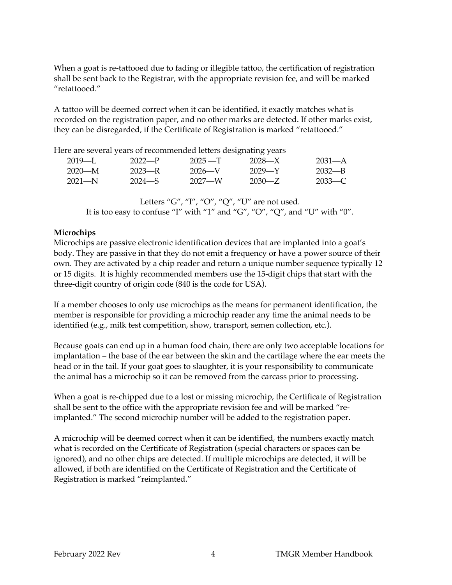When a goat is re-tattooed due to fading or illegible tattoo, the certification of registration shall be sent back to the Registrar, with the appropriate revision fee, and will be marked "retattooed."

A tattoo will be deemed correct when it can be identified, it exactly matches what is recorded on the registration paper, and no other marks are detected. If other marks exist, they can be disregarded, if the Certificate of Registration is marked "retattooed."

Here are several years of recommended letters designating years

| $2019$ —I. | $2022-P$   | $2025 - T$ | 2028—X | $2031 - A$ |
|------------|------------|------------|--------|------------|
| $2020-M$   | 2023—R     | $2026 - V$ | 2029—Y | 2032—B     |
| $2021 - N$ | $2024 - S$ | 2027—W     | 2030—Z | $2033 - C$ |

Letters "G", "I", "O", "Q", "U" are not used. It is too easy to confuse "I" with "1" and "G", "O", "Q", and "U" with "0".

# **Microchips**

Microchips are passive electronic identification devices that are implanted into a goat's body. They are passive in that they do not emit a frequency or have a power source of their own. They are activated by a chip reader and return a unique number sequence typically 12 or 15 digits. It is highly recommended members use the 15-digit chips that start with the three-digit country of origin code (840 is the code for USA).

If a member chooses to only use microchips as the means for permanent identification, the member is responsible for providing a microchip reader any time the animal needs to be identified (e.g., milk test competition, show, transport, semen collection, etc.).

Because goats can end up in a human food chain, there are only two acceptable locations for implantation – the base of the ear between the skin and the cartilage where the ear meets the head or in the tail. If your goat goes to slaughter, it is your responsibility to communicate the animal has a microchip so it can be removed from the carcass prior to processing.

When a goat is re-chipped due to a lost or missing microchip, the Certificate of Registration shall be sent to the office with the appropriate revision fee and will be marked "reimplanted." The second microchip number will be added to the registration paper.

A microchip will be deemed correct when it can be identified, the numbers exactly match what is recorded on the Certificate of Registration (special characters or spaces can be ignored), and no other chips are detected. If multiple microchips are detected, it will be allowed, if both are identified on the Certificate of Registration and the Certificate of Registration is marked "reimplanted."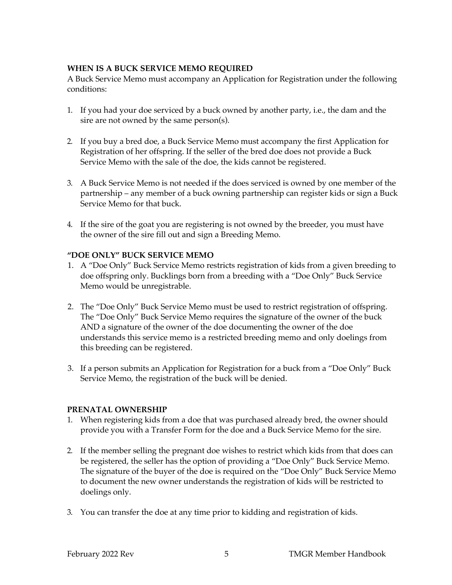## **WHEN IS A BUCK SERVICE MEMO REQUIRED**

A Buck Service Memo must accompany an Application for Registration under the following conditions:

- 1. If you had your doe serviced by a buck owned by another party, i.e., the dam and the sire are not owned by the same person(s).
- 2. If you buy a bred doe, a Buck Service Memo must accompany the first Application for Registration of her offspring. If the seller of the bred doe does not provide a Buck Service Memo with the sale of the doe, the kids cannot be registered.
- 3. A Buck Service Memo is not needed if the does serviced is owned by one member of the partnership – any member of a buck owning partnership can register kids or sign a Buck Service Memo for that buck.
- 4. If the sire of the goat you are registering is not owned by the breeder, you must have the owner of the sire fill out and sign a Breeding Memo.

## **"DOE ONLY" BUCK SERVICE MEMO**

- 1. A "Doe Only" Buck Service Memo restricts registration of kids from a given breeding to doe offspring only. Bucklings born from a breeding with a "Doe Only" Buck Service Memo would be unregistrable.
- 2. The "Doe Only" Buck Service Memo must be used to restrict registration of offspring. The "Doe Only" Buck Service Memo requires the signature of the owner of the buck AND a signature of the owner of the doe documenting the owner of the doe understands this service memo is a restricted breeding memo and only doelings from this breeding can be registered.
- 3. If a person submits an Application for Registration for a buck from a "Doe Only" Buck Service Memo, the registration of the buck will be denied.

#### **PRENATAL OWNERSHIP**

- 1. When registering kids from a doe that was purchased already bred, the owner should provide you with a Transfer Form for the doe and a Buck Service Memo for the sire.
- 2. If the member selling the pregnant doe wishes to restrict which kids from that does can be registered, the seller has the option of providing a "Doe Only" Buck Service Memo. The signature of the buyer of the doe is required on the "Doe Only" Buck Service Memo to document the new owner understands the registration of kids will be restricted to doelings only.
- 3. You can transfer the doe at any time prior to kidding and registration of kids.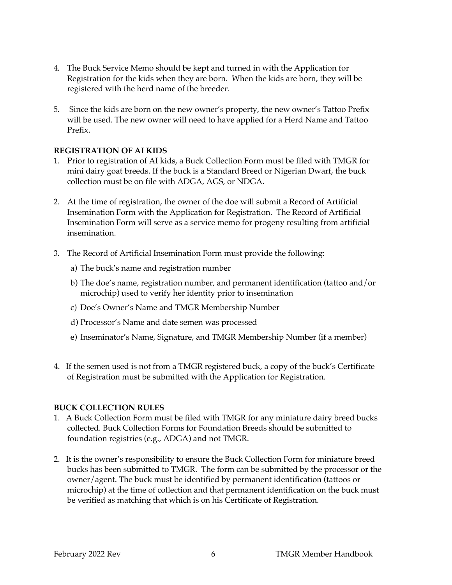- 4. The Buck Service Memo should be kept and turned in with the Application for Registration for the kids when they are born. When the kids are born, they will be registered with the herd name of the breeder.
- 5. Since the kids are born on the new owner's property, the new owner's Tattoo Prefix will be used. The new owner will need to have applied for a Herd Name and Tattoo Prefix.

#### **REGISTRATION OF AI KIDS**

- 1. Prior to registration of AI kids, a Buck Collection Form must be filed with TMGR for mini dairy goat breeds. If the buck is a Standard Breed or Nigerian Dwarf, the buck collection must be on file with ADGA, AGS, or NDGA.
- 2. At the time of registration, the owner of the doe will submit a Record of Artificial Insemination Form with the Application for Registration. The Record of Artificial Insemination Form will serve as a service memo for progeny resulting from artificial insemination.
- 3. The Record of Artificial Insemination Form must provide the following:
	- a) The buck's name and registration number
	- b) The doe's name, registration number, and permanent identification (tattoo and/or microchip) used to verify her identity prior to insemination
	- c) Doe's Owner's Name and TMGR Membership Number
	- d) Processor's Name and date semen was processed
	- e) Inseminator's Name, Signature, and TMGR Membership Number (if a member)
- 4. If the semen used is not from a TMGR registered buck, a copy of the buck's Certificate of Registration must be submitted with the Application for Registration.

#### **BUCK COLLECTION RULES**

- 1. A Buck Collection Form must be filed with TMGR for any miniature dairy breed bucks collected. Buck Collection Forms for Foundation Breeds should be submitted to foundation registries (e.g., ADGA) and not TMGR.
- 2. It is the owner's responsibility to ensure the Buck Collection Form for miniature breed bucks has been submitted to TMGR. The form can be submitted by the processor or the owner/agent. The buck must be identified by permanent identification (tattoos or microchip) at the time of collection and that permanent identification on the buck must be verified as matching that which is on his Certificate of Registration.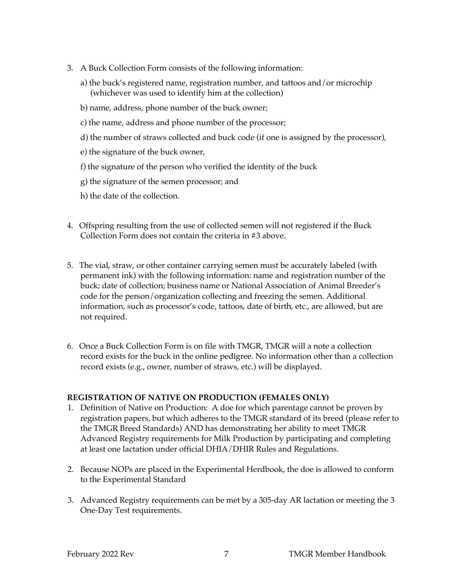- 3. A Buck Collection Form consists of the following information:
	- a) the buck's registered name, registration number, and tattoos and/or microchip (whichever was used to identify him at the collection)
	- b) name, address, phone number of the buck owner;
	- c) the name, address and phone number of the processor;
	- d) the number of straws collected and buck code (if one is assigned by the processor),
	- e) the signature of the buck owner,
	- f) the signature of the person who verified the identity of the buck
	- g) the signature of the semen processor; and
	- h) the date of the collection.
- 4. Offspring resulting from the use of collected semen will not registered if the Buck Collection Form does not contain the criteria in #3 above.
- 5. The vial, straw, or other container carrying semen must be accurately labeled (with permanent ink) with the following information: name and registration number of the buck; date of collection; business name or National Association of Animal Breeder's code for the person/organization collecting and freezing the semen. Additional information, such as processor's code, tattoos, date of birth, etc., are allowed, but are not required.
- 6. Once a Buck Collection Form is on file with TMGR, TMGR will a note a collection record exists for the buck in the online pedigree. No information other than a collection record exists (e.g., owner, number of straws, etc.) will be displayed.

# **REGISTRATION OF NATIVE ON PRODUCTION (FEMALES ONLY)**

- 1. Definition of Native on Production: A doe for which parentage cannot be proven by registration papers, but which adheres to the TMGR standard of its breed (please refer to the TMGR Breed Standards) AND has demonstrating her ability to meet TMGR Advanced Registry requirements for Milk Production by participating and completing at least one lactation under official DHIA/DHIR Rules and Regulations.
- 2. Because NOPs are placed in the Experimental Herdbook, the doe is allowed to conform to the Experimental Standard
- 3. Advanced Registry requirements can be met by a 305-day AR lactation or meeting the 3 One-Day Test requirements.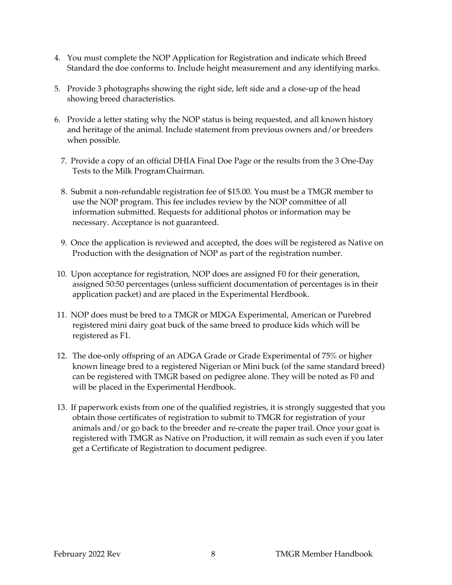- 4. You must complete the NOP Application for Registration and indicate which Breed Standard the doe conforms to. Include height measurement and any identifying marks.
- 5. Provide 3 photographs showing the right side, left side and a close-up of the head showing breed characteristics.
- 6. Provide a letter stating why the NOP status is being requested, and all known history and heritage of the animal. Include statement from previous owners and/or breeders when possible.
	- 7. Provide a copy of an official DHIA Final Doe Page or the results from the 3 One-Day Tests to the Milk ProgramChairman.
	- 8. Submit a non-refundable registration fee of \$15.00. You must be a TMGR member to use the NOP program. This fee includes review by the NOP committee of all information submitted. Requests for additional photos or information may be necessary. Acceptance is not guaranteed.
	- 9. Once the application is reviewed and accepted, the does will be registered as Native on Production with the designation of NOP as part of the registration number.
- 10. Upon acceptance for registration, NOP does are assigned F0 for their generation, assigned 50:50 percentages (unless sufficient documentation of percentages is in their application packet) and are placed in the Experimental Herdbook.
- 11. NOP does must be bred to a TMGR or MDGA Experimental, American or Purebred registered mini dairy goat buck of the same breed to produce kids which will be registered as F1.
- 12. The doe-only offspring of an ADGA Grade or Grade Experimental of 75% or higher known lineage bred to a registered Nigerian or Mini buck (of the same standard breed) can be registered with TMGR based on pedigree alone. They will be noted as F0 and will be placed in the Experimental Herdbook.
- 13. If paperwork exists from one of the qualified registries, it is strongly suggested that you obtain those certificates of registration to submit to TMGR for registration of your animals and/or go back to the breeder and re-create the paper trail. Once your goat is registered with TMGR as Native on Production, it will remain as such even if you later get a Certificate of Registration to document pedigree.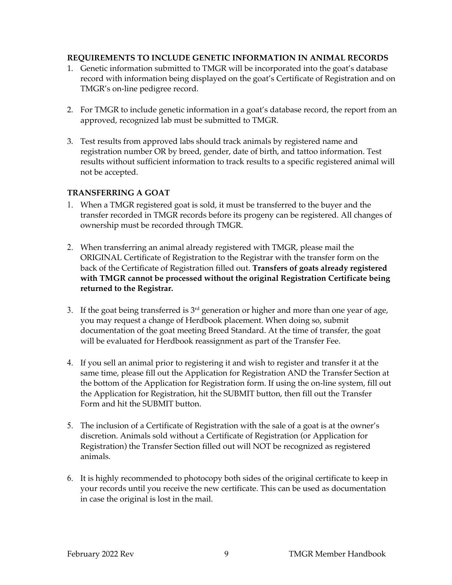## **REQUIREMENTS TO INCLUDE GENETIC INFORMATION IN ANIMAL RECORDS**

- 1. Genetic information submitted to TMGR will be incorporated into the goat's database record with information being displayed on the goat's Certificate of Registration and on TMGR's on-line pedigree record.
- 2. For TMGR to include genetic information in a goat's database record, the report from an approved, recognized lab must be submitted to TMGR.
- 3. Test results from approved labs should track animals by registered name and registration number OR by breed, gender, date of birth, and tattoo information. Test results without sufficient information to track results to a specific registered animal will not be accepted.

# **TRANSFERRING A GOAT**

- 1. When a TMGR registered goat is sold, it must be transferred to the buyer and the transfer recorded in TMGR records before its progeny can be registered. All changes of ownership must be recorded through TMGR.
- 2. When transferring an animal already registered with TMGR, please mail the ORIGINAL Certificate of Registration to the Registrar with the transfer form on the back of the Certificate of Registration filled out. **Transfers of goats already registered with TMGR cannot be processed without the original Registration Certificate being returned to the Registrar.**
- 3. If the goat being transferred is  $3<sup>rd</sup>$  generation or higher and more than one year of age, you may request a change of Herdbook placement. When doing so, submit documentation of the goat meeting Breed Standard. At the time of transfer, the goat will be evaluated for Herdbook reassignment as part of the Transfer Fee.
- 4. If you sell an animal prior to registering it and wish to register and transfer it at the same time, please fill out the Application for Registration AND the Transfer Section at the bottom of the Application for Registration form. If using the on-line system, fill out the Application for Registration, hit the SUBMIT button, then fill out the Transfer Form and hit the SUBMIT button.
- 5. The inclusion of a Certificate of Registration with the sale of a goat is at the owner's discretion. Animals sold without a Certificate of Registration (or Application for Registration) the Transfer Section filled out will NOT be recognized as registered animals.
- 6. It is highly recommended to photocopy both sides of the original certificate to keep in your records until you receive the new certificate. This can be used as documentation in case the original is lost in the mail.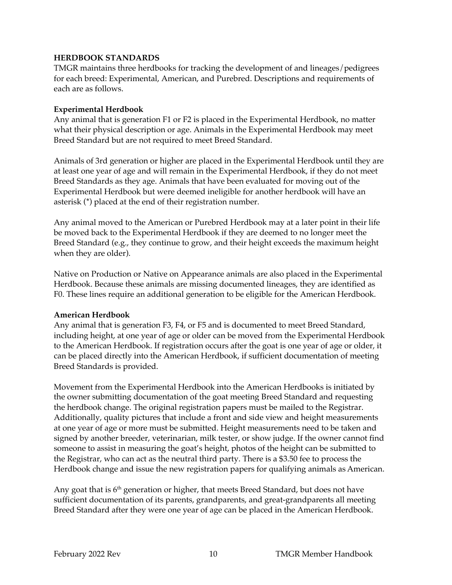#### **HERDBOOK STANDARDS**

TMGR maintains three herdbooks for tracking the development of and lineages/pedigrees for each breed: Experimental, American, and Purebred. Descriptions and requirements of each are as follows.

#### **Experimental Herdbook**

Any animal that is generation F1 or F2 is placed in the Experimental Herdbook, no matter what their physical description or age. Animals in the Experimental Herdbook may meet Breed Standard but are not required to meet Breed Standard.

Animals of 3rd generation or higher are placed in the Experimental Herdbook until they are at least one year of age and will remain in the Experimental Herdbook, if they do not meet Breed Standards as they age. Animals that have been evaluated for moving out of the Experimental Herdbook but were deemed ineligible for another herdbook will have an asterisk (\*) placed at the end of their registration number.

Any animal moved to the American or Purebred Herdbook may at a later point in their life be moved back to the Experimental Herdbook if they are deemed to no longer meet the Breed Standard (e.g., they continue to grow, and their height exceeds the maximum height when they are older).

Native on Production or Native on Appearance animals are also placed in the Experimental Herdbook. Because these animals are missing documented lineages, they are identified as F0. These lines require an additional generation to be eligible for the American Herdbook.

#### **American Herdbook**

Any animal that is generation F3, F4, or F5 and is documented to meet Breed Standard, including height, at one year of age or older can be moved from the Experimental Herdbook to the American Herdbook. If registration occurs after the goat is one year of age or older, it can be placed directly into the American Herdbook, if sufficient documentation of meeting Breed Standards is provided.

Movement from the Experimental Herdbook into the American Herdbooks is initiated by the owner submitting documentation of the goat meeting Breed Standard and requesting the herdbook change. The original registration papers must be mailed to the Registrar. Additionally, quality pictures that include a front and side view and height measurements at one year of age or more must be submitted. Height measurements need to be taken and signed by another breeder, veterinarian, milk tester, or show judge. If the owner cannot find someone to assist in measuring the goat's height, photos of the height can be submitted to the Registrar, who can act as the neutral third party. There is a \$3.50 fee to process the Herdbook change and issue the new registration papers for qualifying animals as American.

Any goat that is  $6<sup>th</sup>$  generation or higher, that meets Breed Standard, but does not have sufficient documentation of its parents, grandparents, and great-grandparents all meeting Breed Standard after they were one year of age can be placed in the American Herdbook.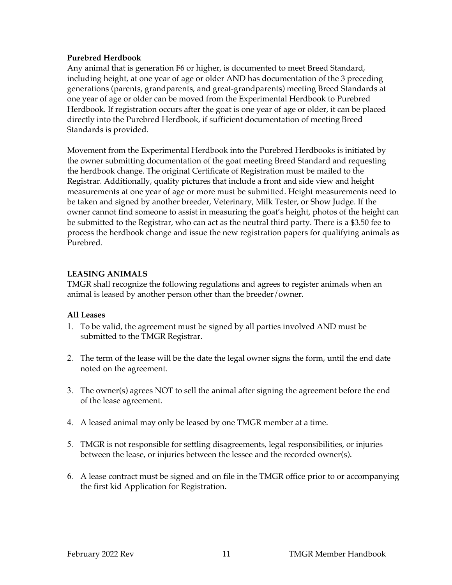#### **Purebred Herdbook**

Any animal that is generation F6 or higher, is documented to meet Breed Standard, including height, at one year of age or older AND has documentation of the 3 preceding generations (parents, grandparents, and great-grandparents) meeting Breed Standards at one year of age or older can be moved from the Experimental Herdbook to Purebred Herdbook. If registration occurs after the goat is one year of age or older, it can be placed directly into the Purebred Herdbook, if sufficient documentation of meeting Breed Standards is provided.

Movement from the Experimental Herdbook into the Purebred Herdbooks is initiated by the owner submitting documentation of the goat meeting Breed Standard and requesting the herdbook change. The original Certificate of Registration must be mailed to the Registrar. Additionally, quality pictures that include a front and side view and height measurements at one year of age or more must be submitted. Height measurements need to be taken and signed by another breeder, Veterinary, Milk Tester, or Show Judge. If the owner cannot find someone to assist in measuring the goat's height, photos of the height can be submitted to the Registrar, who can act as the neutral third party. There is a \$3.50 fee to process the herdbook change and issue the new registration papers for qualifying animals as Purebred.

#### **LEASING ANIMALS**

TMGR shall recognize the following regulations and agrees to register animals when an animal is leased by another person other than the breeder/owner.

#### **All Leases**

- 1. To be valid, the agreement must be signed by all parties involved AND must be submitted to the TMGR Registrar.
- 2. The term of the lease will be the date the legal owner signs the form, until the end date noted on the agreement.
- 3. The owner(s) agrees NOT to sell the animal after signing the agreement before the end of the lease agreement.
- 4. A leased animal may only be leased by one TMGR member at a time.
- 5. TMGR is not responsible for settling disagreements, legal responsibilities, or injuries between the lease, or injuries between the lessee and the recorded owner(s).
- 6. A lease contract must be signed and on file in the TMGR office prior to or accompanying the first kid Application for Registration.